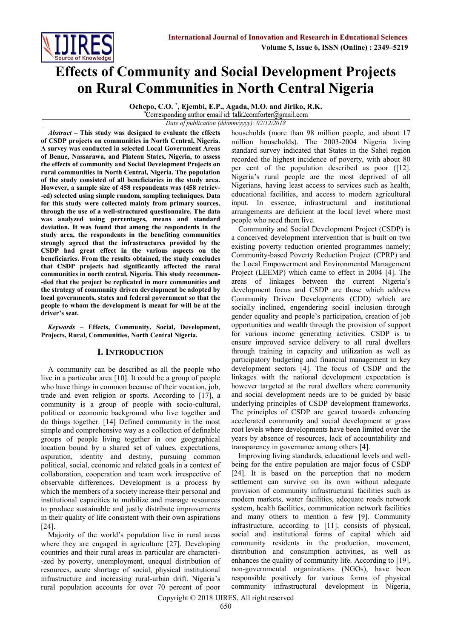

# **Effects of Community and Social Development Projects on Rural Communities in North Central Nigeria**

**Ochepo, C.O. \* , Ejembi, E.P., Agada, M.O. and Jiriko, R.K.** Corresponding author email id: talk2comforter@gmail.com

*Date of publication (dd/mm/yyyy): 02/12/2018*

*Abstract* **– This study was designed to evaluate the effects of CSDP projects on communities in North Central, Nigeria. A survey was conducted in selected Local Government Areas of Benue, Nassarawa, and Plateau States, Nigeria, to assess the effects of community and Social Development Projects on rural communities in North Central, Nigeria. The population of the study consisted of all beneficiaries in the study area. However, a sample size of 458 respondents was (458 retriev- -ed) selected using simple random, sampling techniques. Data for this study were collected mainly from primary sources, through the use of a well-structured questionnaire. The data was analyzed using percentages, means and standard deviation. It was found that among the respondents in the study area, the respondents in the benefiting communities strongly agreed that the infrastructures provided by the CSDP had great effect in the various aspects on the beneficiaries. From the results obtained, the study concludes that CSDP projects had significantly affected the rural communities in north central, Nigeria. This study recommen- -ded that the project be replicated in more communities and the strategy of community driven development be adopted by local governments, states and federal government so that the people to whom the development is meant for will be at the driver's seat.**

*Keywords* **– Effects, Community, Social, Development, Projects, Rural, Communities, North Central Nigeria.**

## **I. INTRODUCTION**

A community can be described as all the people who live in a particular area [10]. It could be a group of people who have things in common because of their vocation, job, trade and even religion or sports. According to [17], a community is a group of people with socio-cultural, political or economic background who live together and do things together. [14] Defined community in the most simple and comprehensive way as a collection of definable groups of people living together in one geographical location bound by a shared set of values, expectations, aspiration, identity and destiny, pursuing common political, social, economic and related goals in a context of collaboration, cooperation and team work irrespective of observable differences. Development is a process by which the members of a society increase their personal and institutional capacities to mobilize and manage resources to produce sustainable and justly distribute improvements in their quality of life consistent with their own aspirations [24].

Majority of the world's population live in rural areas where they are engaged in agriculture [27]. Developing countries and their rural areas in particular are characteri- -zed by poverty, unemployment, unequal distribution of resources, acute shortage of social, physical institutional infrastructure and increasing rural-urban drift. Nigeria's rural population accounts for over 70 percent of poor households (more than 98 million people, and about 17 million households). The 2003-2004 Nigeria living standard survey indicated that States in the Sahel region recorded the highest incidence of poverty, with about 80 per cent of the population described as poor ([12]. Nigeria's rural people are the most deprived of all Nigerians, having least access to services such as health, educational facilities, and access to modern agricultural input. In essence, infrastructural and institutional arrangements are deficient at the local level where most people who need them live.

Community and Social Development Project (CSDP) is a conceived development intervention that is built on two existing poverty reduction oriented programmes namely; Community-based Poverty Reduction Project (CPRP) and the Local Empowerment and Environmental Management Project (LEEMP) which came to effect in 2004 [4]. The areas of linkages between the current Nigeria's development focus and CSDP are those which address Community Driven Developments (CDD) which are socially inclined, engendering social inclusion through gender equality and people's participation, creation of job opportunities and wealth through the provision of support for various income generating activities. CSDP is to ensure improved service delivery to all rural dwellers through training in capacity and utilization as well as participatory budgeting and financial management in key development sectors [4]. The focus of CSDP and the linkages with the national development expectation is however targeted at the rural dwellers where community and social development needs are to be guided by basic underlying principles of CSDP development frameworks. The principles of CSDP are geared towards enhancing accelerated community and social development at grass root levels where developments have been limited over the years by absence of resources, lack of accountability and transparency in governance among others [4].

Improving living standards, educational levels and wellbeing for the entire population are major focus of CSDP [24]. It is based on the perception that no modern settlement can survive on its own without adequate provision of community infrastructural facilities such as modern markets, water facilities, adequate roads network system, health facilities, communication network facilities and many others to mention a few [9]. Community infrastructure, according to [11], consists of physical, social and institutional forms of capital which aid community residents in the production, movement, distribution and consumption activities, as well as enhances the quality of community life. According to [19], non-governmental organizations (NGOs), have been responsible positively for various forms of physical community infrastructural development in Nigeria,

Copyright © 2018 IJIRES, All right reserved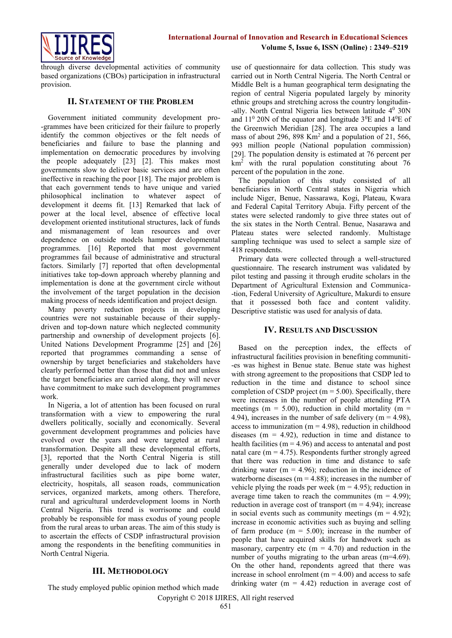

through diverse developmental activities of community based organizations (CBOs) participation in infrastructural provision.

#### **II. STATEMENT OF THE PROBLEM**

Government initiated community development pro- -grammes have been criticized for their failure to properly identify the common objectives or the felt needs of beneficiaries and failure to base the planning and implementation on democratic procedures by involving the people adequately [23] [2]. This makes most governments slow to deliver basic services and are often ineffective in reaching the poor [18]. The major problem is that each government tends to have unique and varied philosophical inclination to whatever aspect of development it deems fit. [13] Remarked that lack of power at the local level, absence of effective local development oriented institutional structures, lack of funds and mismanagement of lean resources and over dependence on outside models hamper developmental programmes. [16] Reported that most government programmes fail because of administrative and structural factors. Similarly [7] reported that often developmental initiatives take top-down approach whereby planning and implementation is done at the government circle without the involvement of the target population in the decision making process of needs identification and project design.

Many poverty reduction projects in developing countries were not sustainable because of their supplydriven and top-down nature which neglected community partnership and ownership of development projects [6]. United Nations Development Programme [25] and [26] reported that programmes commanding a sense of ownership by target beneficiaries and stakeholders have clearly performed better than those that did not and unless the target beneficiaries are carried along, they will never have commitment to make such development programmes work.

In Nigeria, a lot of attention has been focused on rural transformation with a view to empowering the rural dwellers politically, socially and economically. Several government development programmes and policies have evolved over the years and were targeted at rural transformation. Despite all these developmental efforts, [3], reported that the North Central Nigeria is still generally under developed due to lack of modern infrastructural facilities such as pipe borne water, electricity, hospitals, all season roads, communication services, organized markets, among others. Therefore, rural and agricultural underdevelopment looms in North Central Nigeria. This trend is worrisome and could probably be responsible for mass exodus of young people from the rural areas to urban areas. The aim of this study is to ascertain the effects of CSDP infrastructural provision among the respondents in the benefiting communities in North Central Nigeria.

## **III. METHODOLOGY**

use of questionnaire for data collection. This study was carried out in North Central Nigeria. The North Central or Middle Belt is a human geographical term designating the region of central Nigeria populated largely by minority ethnic groups and stretching across the country longitudin- -ally. North Central Nigeria lies between latitude  $4^0$  30N and  $11^{\circ}$  20N of the equator and longitude  $3^{\circ}$ E and  $14^{\circ}$ E of the Greenwich Meridian [28]. The area occupies a land mass of about 296, 898 Km<sup>2</sup> and a population of 21, 566, 993 million people (National population commission) [29]. The population density is estimated at 76 percent per  $km<sup>2</sup>$  with the rural population constituting about 76 percent of the population in the zone.

The population of this study consisted of all beneficiaries in North Central states in Nigeria which include Niger, Benue, Nassarawa, Kogi, Plateau, Kwara and Federal Capital Territory Abuja. Fifty percent of the states were selected randomly to give three states out of the six states in the North Central. Benue, Nasarawa and Plateau states were selected randomly. Multistage sampling technique was used to select a sample size of 418 respondents.

Primary data were collected through a well-structured questionnaire. The research instrument was validated by pilot testing and passing it through erudite scholars in the Department of Agricultural Extension and Communica- -tion, Federal University of Agriculture, Makurdi to ensure that it possessed both face and content validity. Descriptive statistic was used for analysis of data.

## **IV. RESULTS AND DISCUSSION**

Based on the perception index, the effects of infrastructural facilities provision in benefiting communiti- -es was highest in Benue state. Benue state was highest with strong agreement to the propositions that CSDP led to reduction in the time and distance to school since completion of CSDP project ( $m = 5.00$ ). Specifically, there were increases in the number of people attending PTA meetings ( $m = 5.00$ ), reduction in child mortality ( $m =$ 4.94), increases in the number of safe delivery ( $m = 4.98$ ), access to immunization ( $m = 4.98$ ), reduction in childhood diseases ( $m = 4.92$ ), reduction in time and distance to health facilities ( $m = 4.96$ ) and access to antenatal and post natal care ( $m = 4.75$ ). Respondents further strongly agreed that there was reduction in time and distance to safe drinking water ( $m = 4.96$ ); reduction in the incidence of waterborne diseases ( $m = 4.88$ ); increases in the number of vehicle plying the roads per week ( $m = 4.95$ ); reduction in average time taken to reach the communites  $(m = 4.99)$ ; reduction in average cost of transport ( $m = 4.94$ ); increase in social events such as community meetings  $(m = 4.92)$ ; increase in economic activities such as buying and selling of farm produce  $(m = 5.00)$ ; increase in the number of people that have acquired skills for handwork such as masonary, carpentry etc ( $m = 4.70$ ) and reduction in the number of youths migrating to the urban areas (m=4.69). On the other hand, repondents agreed that there was increase in school enrolment ( $m = 4.00$ ) and access to safe drinking water ( $m = 4.42$ ) reduction in average cost of

The study employed public opinion method which made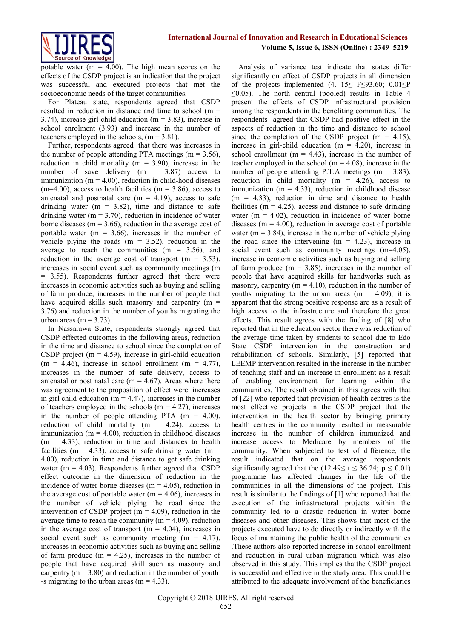**International Journal of Innovation and Research in Educational Sciences Volume 5, Issue 6, ISSN (Online) : 2349–5219**



potable water ( $m = 4.00$ ). The high mean scores on the effects of the CSDP project is an indication that the project was successful and executed projects that met the socioeconomic needs of the target communities.

For Plateau state, respondents agreed that CSDP resulted in reduction in distance and time to school (m = 3.74), increase girl-child education (m = 3.83), increase in school enrolment (3.93) and increase in the number of teachers employed in the schools,  $(m = 3.81)$ .

Further, respondents agreed that there was increases in the number of people attending PTA meetings ( $m = 3.56$ ), reduction in child mortality ( $m = 3.90$ ), increase in the number of save delivery  $(m = 3.87)$  access to immunization ( $m = 4.00$ ), reduction in child-hood diseases  $(m=4.00)$ , access to health facilities  $(m = 3.86)$ , access to antenatal and postnatal care  $(m = 4.19)$ , access to safe drinking water ( $m = 3.82$ ), time and distance to safe drinking water ( $m = 3.70$ ), reduction in incidence of water borne diseases ( $m = 3.66$ ), reduction in the average cost of portable water ( $m = 3.66$ ), increases in the number of vehicle plying the roads  $(m = 3.52)$ , reduction in the average to reach the communities  $(m = 3.56)$ , and reduction in the average cost of transport ( $m = 3.53$ ), increases in social event such as community meetings (m = 3.55). Respondents further agreed that there were increases in economic activities such as buying and selling of farm produce, increases in the number of people that have acquired skills such masonry and carpentry (m = 3.76) and reduction in the number of youths migrating the urban areas (m  $=$  3.73).

In Nassarawa State, respondents strongly agreed that CSDP effected outcomes in the following areas, reduction in the time and distance to school since the completion of CSDP project ( $m = 4.59$ ), increase in girl-child education  $(m = 4.46)$ , increase in school enrollment  $(m = 4.77)$ , increases in the number of safe delivery, access to antenatal or post natal care ( $m = 4.67$ ). Areas where there was agreement to the proposition of effect were: increases in girl child education ( $m = 4.47$ ), increases in the number of teachers employed in the schools  $(m = 4.27)$ , increases in the number of people attending PTA  $(m = 4.00)$ , reduction of child mortality ( $m = 4.24$ ), access to immunization ( $m = 4.00$ ), reduction in childhood diseases  $(m = 4.33)$ , reduction in time and distances to health facilities (m = 4.33), access to safe drinking water (m = 4.00), reduction in time and distance to get safe drinking water ( $m = 4.03$ ). Respondents further agreed that CSDP effect outcome in the dimension of reduction in the incidence of water borne diseases ( $m = 4.05$ ), reduction in the average cost of portable water ( $m = 4.06$ ), increases in the number of vehicle plying the road since the intervention of CSDP project ( $m = 4.09$ ), reduction in the average time to reach the community ( $m = 4.09$ ), reduction in the average cost of transport ( $m = 4.04$ ), increases in social event such as community meeting  $(m = 4.17)$ , increases in economic activities such as buying and selling of farm produce  $(m = 4.25)$ , increases in the number of people that have acquired skill such as masonry and carpentry  $(m = 3.80)$  and reduction in the number of youth -s migrating to the urban areas ( $m = 4.33$ ).

Analysis of variance test indicate that states differ significantly on effect of CSDP projects in all dimension of the projects implemented (4.  $15 \le F \le 93.60$ ;  $0.01 \le P$  $\leq$ 0.05). The north central (pooled) results in Table 4 present the effects of CSDP infrastructural provision among the respondents in the benefiting communities. The respondents agreed that CSDP had positive effect in the aspects of reduction in the time and distance to school since the completion of the CSDP project ( $m = 4.15$ ), increase in girl-child education  $(m = 4.20)$ , increase in school enrollment ( $m = 4.43$ ), increase in the number of teacher employed in the school ( $m = 4.08$ ), increase in the number of people attending P.T.A meetings  $(m = 3.83)$ , reduction in child mortality ( $m = 4.26$ ), access to immunization ( $m = 4.33$ ), reduction in childhood disease  $(m = 4.33)$ , reduction in time and distance to health facilities ( $m = 4.25$ ), access and distance to safe drinking water ( $m = 4.02$ ), reduction in incidence of water borne diseases ( $m = 4.00$ ), reduction in average cost of portable water ( $m = 3.84$ ), increase in the number of vehicle plying the road since the intervening  $(m = 4.23)$ , increase in social event such as community meetings (m=4.05), increase in economic activities such as buying and selling of farm produce  $(m = 3.85)$ , increases in the number of people that have acquired skills for handworks such as masonry, carpentry ( $m = 4.10$ ), reduction in the number of youths migrating to the urban areas  $(m = 4.09)$ , it is apparent that the strong positive response are as a result of high access to the infrastructure and therefore the great effects. This result agrees with the finding of [8] who reported that in the education sector there was reduction of the average time taken by students to school due to Edo State CSDP intervention in the construction and rehabilitation of schools. Similarly, [5] reported that LEEMP intervention resulted in the increase in the number of teaching staff and an increase in enrollment as a result of enabling environment for learning within the communities. The result obtained in this agrees with that of [22] who reported that provision of health centres is the most effective projects in the CSDP project that the intervention in the health sector by bringing primary health centres in the community resulted in measurable increase in the number of children immunized and increase access to Medicare by members of the community. When subjected to test of difference, the result indicated that on the average respondents significantly agreed that the (12.49≤ t ≤ 36.24; p ≤ 0.01) programme has affected changes in the life of the communities in all the dimensions of the project. This result is similar to the findings of [1] who reported that the execution of the infrastructural projects within the community led to a drastic reduction in water borne diseases and other diseases. This shows that most of the projects executed have to do directly or indirectly with the focus of maintaining the public health of the communities .These authors also reported increase in school enrollment and reduction in rural urban migration which was also observed in this study. This implies thatthe CSDP project is successful and effective in the study area. This could be attributed to the adequate involvement of the beneficiaries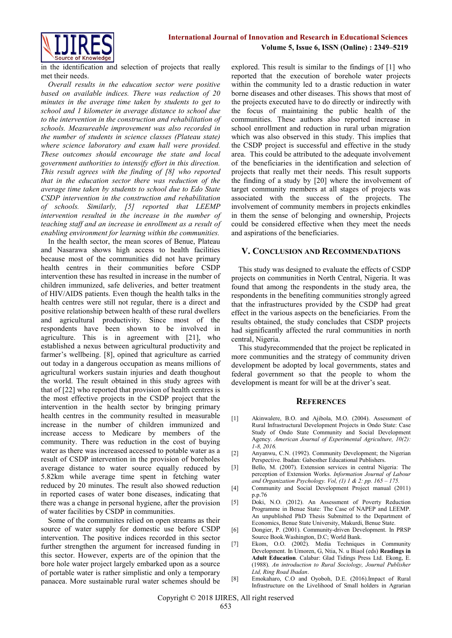

in the identification and selection of projects that really met their needs.

*Overall results in the education sector were positive based on available indices. There was reduction of 20 minutes in the average time taken by students to get to school and 1 kilometer in average distance to school due to the intervention in the construction and rehabilitation of schools. Measureable improvement was also recorded in the number of students in science classes (Plateau state) where science laboratory and exam hall were provided. These outcomes should encourage the state and local government authorities to intensify effort in this direction. This result agrees with the finding of [8] who reported that in the education sector there was reduction of the average time taken by students to school due to Edo State CSDP intervention in the construction and rehabilitation of schools. Similarly, [5] reported that LEEMP intervention resulted in the increase in the number of teaching staff and an increase in enrollment as a result of enabling environment for learning within the communities.* 

In the health sector, the mean scores of Benue, Plateau and Nasarawa shows high access to health facilities because most of the communities did not have primary health centres in their communities before CSDP intervention these has resulted in increase in the number of children immunized, safe deliveries, and better treatment of HIV/AIDS patients. Even though the health talks in the health centres were still not regular, there is a direct and positive relationship between health of these rural dwellers and agricultural productivity. Since most of the respondents have been shown to be involved in agriculture. This is in agreement with [21], who established a nexus between agricultural productivity and farmer's wellbeing. [8], opined that agriculture as carried out today in a dangerous occupation as means millions of agricultural workers sustain injuries and death thoughout the world. The result obtained in this study agrees with that of [22] who reported that provision of health centres is the most effective projects in the CSDP project that the intervention in the health sector by bringing primary health centres in the community resulted in measurable increase in the number of children immunized and increase access to Medicare by members of the community. There was reduction in the cost of buying water as there was increased accessed to potable water as a result of CSDP intervention in the provision of boreholes average distance to water source equally reduced by 5.82km while average time spent in fetching water reduced by 20 minutes. The result also showed reduction in reported cases of water bone diseases, indicating that there was a change in personal hygiene, after the provision of water facilities by CSDP in communities.

Some of the communites relied on open streams as their source of water supply for domestic use before CSDP intervention. The positive indices recorded in this sector further strengthen the argument for increased funding in this sector. However, experts are of the opinion that the bore hole water project largely embarked upon as a source of portable water is rather simplistic and only a temporary panacea. More sustainable rural water schemes should be

explored. This result is similar to the findings of [1] who reported that the execution of borehole water projects within the community led to a drastic reduction in water borne diseases and other diseases. This shows that most of the projects executed have to do directly or indirectly with the focus of maintaining the public health of the communities. These authors also reported increase in school enrollment and reduction in rural urban migration which was also observed in this study. This implies that the CSDP project is successful and effective in the study area. This could be attributed to the adequate involvement of the beneficiaries in the identification and selection of projects that really met their needs. This result supports the finding of a study by [20] where the involvement of target community members at all stages of projects was associated with the success of the projects. The involvement of community members in projects enkindles in them the sense of belonging and ownership, Projects could be considered effective when they meet the needs and aspirations of the beneficiaries.

#### **V. CONCLUSION AND RECOMMENDATIONS**

This study was designed to evaluate the effects of CSDP projects on communities in North Central, Nigeria. It was found that among the respondents in the study area, the respondents in the benefiting communities strongly agreed that the infrastructures provided by the CSDP had great effect in the various aspects on the beneficiaries. From the results obtained, the study concludes that CSDP projects had significantly affected the rural communities in north central, Nigeria.

This studyrecommended that the project be replicated in more communities and the strategy of community driven development be adopted by local governments, states and federal government so that the people to whom the development is meant for will be at the driver's seat.

#### **REFERENCES**

- [1] Akinwalere, B.O. and Ajibola, M.O. (2004). Assessment of Rural Infrastructural Development Projects in Ondo State: Case Study of Ondo State Community and Social Development Agency. *American Journal of Experimental Agriculture, 10(2): 1-8, 2016.*
- [2] Anyanwu, C.N. (1992). Community Development; the Nigerian Perspective. Ibadan: Gabesther Educational Publishers.
- [3] Bello, M. (2007). Extension services in central Nigeria: The perception of Extension Works. *Information Journal of Labour and Organization Psychology. Vol, (1) 1 & 2: pp. 165 – 175.*
- [4] Community and Social Development Project manual (2011) p.p.76
- [5] Doki, N.O. (2012). An Assessment of Poverty Reduction Programme in Benue State: The Case of NAPEP and LEEMP. An unpublished PhD Thesis Submitted to the Department of Economics, Benue State University, Makurdi, Benue State.
- [6] Dongier, P. (2001). Community-driven Development. In PRSP Source Book.Washington, D.C; World Bank.
- [7] Ekom, O.O. (2002). Media Techniques in Community Development. In Umoren, G, Ntia, N. u BiaoI (eds) **Readings in Adult Education**. Calabar: Glad Tidings Press Ltd. Ekong, E. (1988). *An introduction to Rural Sociology, Journal Publisher Ltd, Ring Road Ibadan*.
- [8] Emokaharo, C.O and Oyoboh, D.E. (2016).Impact of Rural Infrastructure on the Livelihood of Small holders in Agrarian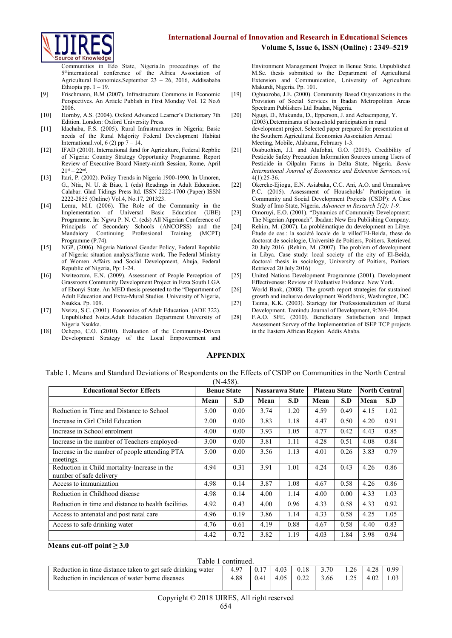

Communities in Edo State, Nigeria.In proceedings of the 5<sup>th</sup>international conference of the Africa Association of Agricultural Economics.September 23 – 26, 2016, Addisababa Ethiopia pp.  $1 - 19$ .

- [9] Frischmann, B.M (2007). Infrastructure Commons in Economic Perspectives. An Article Publish in First Monday Vol. 12 No.6 2006.
- [10] Hornby, A.S. (2004). Oxford Advanced Learner's Dictionary 7th Edition. London: Oxford University Press.
- [11] Idachaba, F.S. (2005). Rural Infrastructures in Nigeria; Basic needs of the Rural Majority Federal Development Habitat International.vol, 6 (2) pp  $7 - 14$ .
- [12] IFAD (2010). International fund for Agriculture, Federal Repblic of Nigeria: Country Strategy Opportunity Programme. Report Review of Executive Board Ninety-ninth Session, Rome, April  $21^{st} - 22^{nc}$ .
- [13] Itari, P. (2002). Policy Trends in Nigeria 1900-1990. In Umoren, G., Ntia, N. U. & Biao, I. (eds) Readings in Adult Education. Calabar. Glad Tidings Press ltd. ISSN 2222-1700 (Paper) ISSN 2222-2855 (Online) Vol.4, No.17, 201323.
- [14] Lemu, M.I. (2006). The Role of the Community in the Implementation of Universal Basic Education (UBE) Programme. In: Ngwu P. N. C. (eds) All Nigerian Conference of Principals of Secondary Schools (ANCOPSS) and the Mandaiory Continuing Professional Training (MCPT) Programme (P.74).
- [15] NGP, (2006). Nigeria National Gender Policy, Federal Republic of Nigeria: situation analysis/frame work. The Federal Ministry of Women Affairs and Social Development, Abuja, Federal Republic of Nigeria, Pp: 1-24.
- [16] Nwiteozum, E.N. (2009). Assessment of People Perception of Grassroots Community Development Project in Ezza South LGA of Ebonyi State. An MED thesis presented to the "Department of Adult Education and Extra-Mural Studies. University of Nigeria, Nsukka. Pp. 109.
- [17] Nwizu, S.C. (2001). Economics of Adult Education. (ADE 322). Unpublished Notes.Adult Education Department University of Nigeria Nsukka.
- [18] Ochepo, C.O. (2010). Evaluation of the Community-Driven Development Strategy of the Local Empowerment and

Environment Management Project in Benue State. Unpublished M.Sc. thesis submitted to the Department of Agricultural Extension and Communication, University of Agriculture Makurdi, Nigeria. Pp. 101.

**Volume 5, Issue 6, ISSN (Online) : 2349–5219**

- [19] Ogbuozobe, J.E. (2000). Community Based Organizations in the Provision of Social Services in Ibadan Metropolitan Areas Spectrum Publishers Ltd Ibadan, Nigeria.
- [20] Ngugi, D., Mukundu, D., Epperson, J. and Achaempong, Y. (2003).Determinants of household participation in rural development project. Selected paper prepared for presentation at the Southern Agricultural Economics Association Annual Meeting, Mobile, Alabama, February 1-3.
- [21] Osabuohien, J.I. and Alufohai, G.O. (2015). Credibility of Pesticide Safety Precaution Information Sources among Users of Pesticide in Oilpalm Farms in Delta State, Nigeria. *Benin International Journal of Economics and Extension Services.vol,*  4(1):25-36.
- [22] Okereke-Ejiogu, E.N. Asiabaka, C.C. Ani, A.O. and Umunakwe P.C. (2015). Assessment of Households' Participation in Community and Social Development Projects (CSDP): A Case Study of Imo State, Nigeria. *Advances in Research 5(2): 1-9.*
- [23] Omoruyi, E.O. (2001). "Dynamics of Community Development: The Nigerian Approach". Ibadan: New Era Publishing Company.
- [24] Rehim, M. (2007). La problématique du development en Libye. Étude de cas : la société locale de la villed'El-Beida' these de doctorat de sociologie, Université de Poitiers, Poitiers. Retrieved 20 July 2016. (Rehim, M. (2007). The problem of development in Libya. Case study: local society of the city of El-Beida, doctoral thesis in sociology, University of Poitiers, Poitiers. Retrieved 20 July 2016)
- [25] United Nations Development Programme (2001). Development Effectiveness: Review of Evaluative Evidence. New York.
- [26] World Bank, (2008). The growth report strategies for sustained growth and inclusive development Worldbank, Washington, DC.
- [27] Taima, K.K. (2003). Startegy for Professionalization of Rural Development. Tamindu Journal of Development, 9:269-304.
- [28] F.A.O. SFE. (2010). Beneficiary Satisfaction and Impact Assessment Survey of the Implementation of ISEP TCP projects in the Eastern African Region. Addis Ababa.

## **APPENDIX**

Table 1. Means and Standard Deviations of Respondents on the Effects of CSDP on Communities in the North Central  $(N-458)$ 

| <b>Educational Sector Effects</b>                                       | <b>Benue State</b> |      |      | Nassarawa State | <b>Plateau State</b> |      | <b>North Central</b> |      |
|-------------------------------------------------------------------------|--------------------|------|------|-----------------|----------------------|------|----------------------|------|
|                                                                         | Mean               | S.D  | Mean | S.D             | Mean                 | S.D  | Mean                 | S.D  |
| Reduction in Time and Distance to School                                | 5.00               | 0.00 | 3.74 | 1.20            | 4.59                 | 0.49 | 4.15                 | 1.02 |
| Increase in Girl Child Education                                        | 2.00               | 0.00 | 3.83 | 1.18            | 4.47                 | 0.50 | 4.20                 | 0.91 |
| Increase in School enrolment                                            | 4.00               | 0.00 | 3.93 | 1.05            | 4.77                 | 0.42 | 4.43                 | 0.85 |
| Increase in the number of Teachers employed-                            | 3.00               | 0.00 | 3.81 | 1.11            | 4.28                 | 0.51 | 4.08                 | 0.84 |
| Increase in the number of people attending PTA<br>meetings.             | 5.00               | 0.00 | 3.56 | 1.13            | 4.01                 | 0.26 | 3.83                 | 0.79 |
| Reduction in Child mortality-Increase in the<br>number of safe delivery | 4.94               | 0.31 | 3.91 | 1.01            | 4.24                 | 0.43 | 4.26                 | 0.86 |
| Access to immunization                                                  | 4.98               | 0.14 | 3.87 | 1.08            | 4.67                 | 0.58 | 4.26                 | 0.86 |
| Reduction in Childhood disease                                          | 4.98               | 0.14 | 4.00 | 1.14            | 4.00                 | 0.00 | 4.33                 | 1.03 |
| Reduction in time and distance to health facilities                     | 4.92               | 0.43 | 4.00 | 0.96            | 4.33                 | 0.58 | 4.33                 | 0.92 |
| Access to antenatal and post natal care                                 | 4.96               | 0.19 | 3.86 | 1.14            | 4.33                 | 0.58 | 4.25                 | 1.05 |
| Access to safe drinking water                                           | 4.76               | 0.61 | 4.19 | 0.88            | 4.67                 | 0.58 | 4.40                 | 0.83 |
|                                                                         | 4.42               | 0.72 | 3.82 | 1.19            | 4.03                 | 1.84 | 3.98                 | 0.94 |

#### **Means cut-off point**  $\geq 3.0$

Table 1 continued.

| гарје т сопинцест                                           |         |  |      |  |      |          |          |      |  |
|-------------------------------------------------------------|---------|--|------|--|------|----------|----------|------|--|
| Reduction in time distance taken to get safe drinking water | 07<br>4 |  | t.VJ |  | 3.70 | .26      | $\gamma$ | 0.99 |  |
| Reduction in incidences of water borne diseases             | .88     |  |      |  | 3.66 | (ت سکہ ا | 4.02     |      |  |